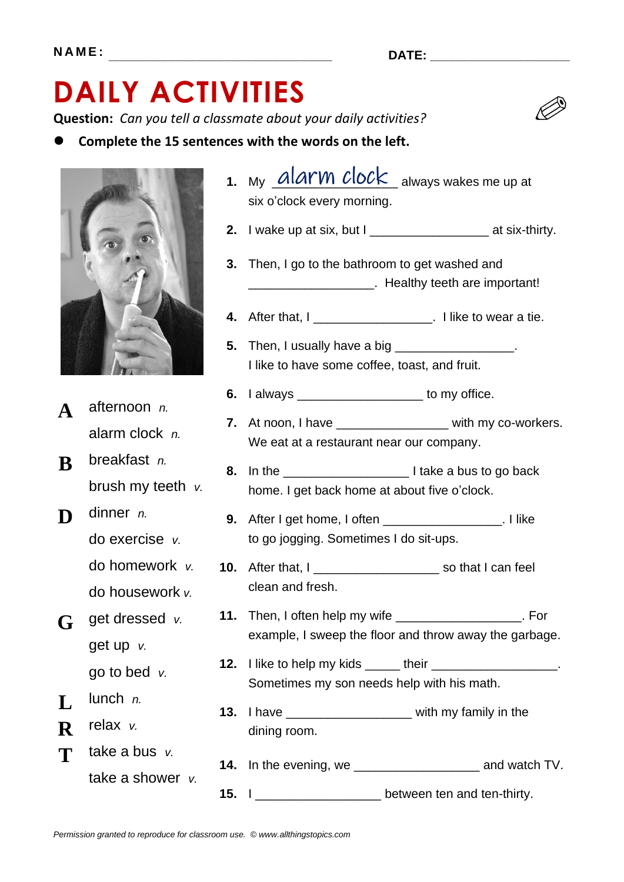## **DAILY ACTIVITIES**

**Question:** *Can you tell a classmate about your daily activities?*

⚫ **Complete the 15 sentences with the words on the left.**



- **A** afternoon *n.* alarm clock *n.*
- **B** breakfast *n.* brush my teeth *v.*
- **D** dinner *n.* do exercise *v.* do homework *v.* do housework *v.*
- **G** get dressed *v.* get up *v.* go to bed *v.*
- $\mathbf{L}$  lunch *n.*
- **R** relax *v.*
- **T** take a bus *v*. take a shower *v.*
- **2.** I wake up at six, but I \_\_\_\_\_\_\_\_\_\_\_\_\_\_\_\_\_ at six-thirty. **3.** Then, I go to the bathroom to get washed and **4.** After that, I \_\_\_\_\_\_\_\_\_\_\_\_\_\_\_\_\_\_\_\_\_. I like to wear a tie. **5.** Then, I usually have a big \_\_\_\_\_\_\_\_\_\_\_\_\_\_\_\_\_\_\_. **6.** I always \_\_\_\_\_\_\_\_\_\_\_\_\_\_\_\_\_\_ to my office. **7.** At noon, I have \_\_\_\_\_\_\_\_\_\_\_\_\_\_\_\_\_ with my co-workers. **8.** In the \_\_\_\_\_\_\_\_\_\_\_\_\_\_\_\_\_\_ I take a bus to go back **9.** After I get home, I often \_\_\_\_\_\_\_\_\_\_\_\_\_\_\_\_\_. I like **10.** After that, I \_\_\_\_\_\_\_\_\_\_\_\_\_\_\_\_\_\_\_\_\_\_\_\_ so that I can feel **11.** Then, I often help my wife \_\_\_\_\_\_\_\_\_\_\_\_\_\_\_\_\_\_\_\_. For **12.** I like to help my kids \_\_\_\_\_ their \_\_\_\_\_\_\_\_\_\_\_\_\_\_\_\_\_\_\_. **13.** I have \_\_\_\_\_\_\_\_\_\_\_\_\_\_\_\_\_\_ with my family in the **14.** In the evening, we \_\_\_\_\_\_\_\_\_\_\_\_\_\_\_\_\_\_\_\_\_\_\_\_\_ and watch TV. **EXAMPLE 2014** Healthy teeth are important! I like to have some coffee, toast, and fruit. We eat at a restaurant near our company. home. I get back home at about five o'clock. to go jogging. Sometimes I do sit-ups. clean and fresh. example, I sweep the floor and throw away the garbage. Sometimes my son needs help with his math. dining room.
- **15.** I \_\_\_\_\_\_\_\_\_\_\_\_\_\_\_\_\_\_ between ten and ten-thirty.

1. My *UIUI VII UIUU* K always wakes me up at

six o'clock every morning.